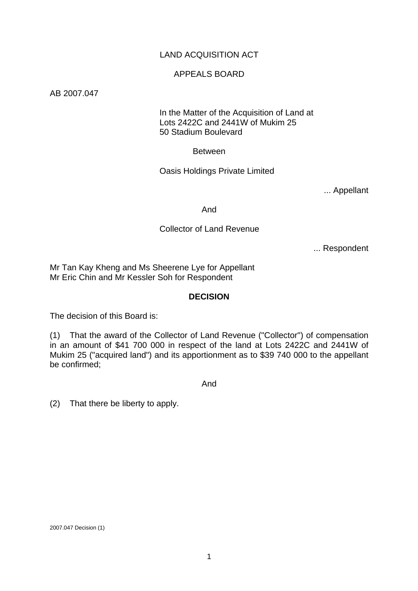# LAND ACQUISITION ACT

### APPEALS BOARD

AB 2007.047

 In the Matter of the Acquisition of Land at Lots 2422C and 2441W of Mukim 25 50 Stadium Boulevard

Between

Oasis Holdings Private Limited

... Appellant

And

### Collector of Land Revenue

... Respondent

Mr Tan Kay Kheng and Ms Sheerene Lye for Appellant Mr Eric Chin and Mr Kessler Soh for Respondent

## **DECISION**

The decision of this Board is:

(1) That the award of the Collector of Land Revenue ("Collector") of compensation in an amount of \$41 700 000 in respect of the land at Lots 2422C and 2441W of Mukim 25 ("acquired land") and its apportionment as to \$39 740 000 to the appellant be confirmed;

And

(2) That there be liberty to apply.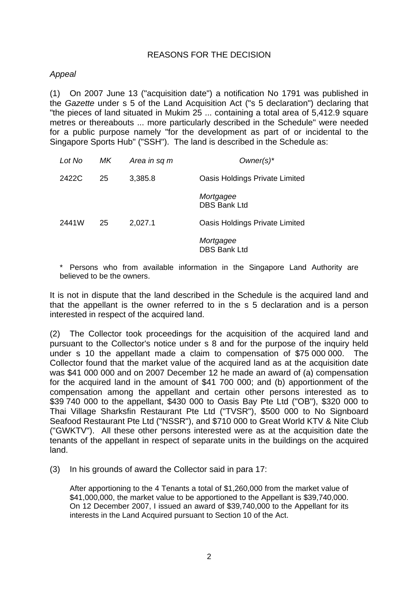## REASONS FOR THE DECISION

# *Appeal*

(1) On 2007 June 13 ("acquisition date") a notification No 1791 was published in the *Gazette* under s 5 of the Land Acquisition Act ("s 5 declaration") declaring that "the pieces of land situated in Mukim 25 ... containing a total area of 5,412.9 square metres or thereabouts ... more particularly described in the Schedule" were needed for a public purpose namely "for the development as part of or incidental to the Singapore Sports Hub" ("SSH"). The land is described in the Schedule as:

| Lot No | МK | Area in sq m | $Owner(s)^*$                     |
|--------|----|--------------|----------------------------------|
| 2422C  | 25 | 3,385.8      | Oasis Holdings Private Limited   |
|        |    |              | Mortgagee<br><b>DBS Bank Ltd</b> |
| 2441W  | 25 | 2,027.1      | Oasis Holdings Private Limited   |
|        |    |              | Mortgagee<br><b>DBS Bank Ltd</b> |

\* Persons who from available information in the Singapore Land Authority are believed to be the owners.

It is not in dispute that the land described in the Schedule is the acquired land and that the appellant is the owner referred to in the s 5 declaration and is a person interested in respect of the acquired land.

(2) The Collector took proceedings for the acquisition of the acquired land and pursuant to the Collector's notice under s 8 and for the purpose of the inquiry held under s 10 the appellant made a claim to compensation of \$75 000 000. The Collector found that the market value of the acquired land as at the acquisition date was \$41 000 000 and on 2007 December 12 he made an award of (a) compensation for the acquired land in the amount of \$41 700 000; and (b) apportionment of the compensation among the appellant and certain other persons interested as to \$39 740 000 to the appellant, \$430 000 to Oasis Bay Pte Ltd ("OB"), \$320 000 to Thai Village Sharksfin Restaurant Pte Ltd ("TVSR"), \$500 000 to No Signboard Seafood Restaurant Pte Ltd ("NSSR"), and \$710 000 to Great World KTV & Nite Club ("GWKTV"). All these other persons interested were as at the acquisition date the tenants of the appellant in respect of separate units in the buildings on the acquired land.

(3) In his grounds of award the Collector said in para 17:

After apportioning to the 4 Tenants a total of \$1,260,000 from the market value of \$41,000,000, the market value to be apportioned to the Appellant is \$39,740,000. On 12 December 2007, I issued an award of \$39,740,000 to the Appellant for its interests in the Land Acquired pursuant to Section 10 of the Act.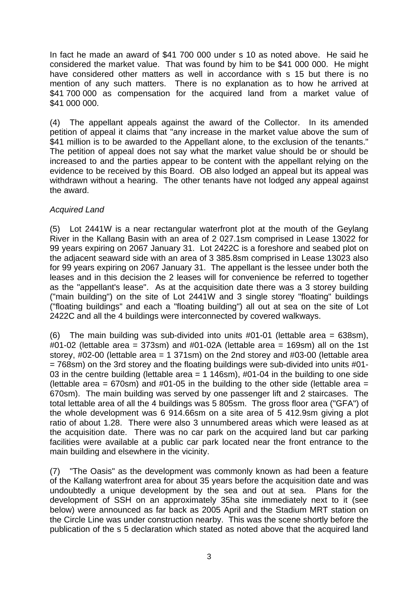In fact he made an award of \$41 700 000 under s 10 as noted above. He said he considered the market value. That was found by him to be \$41 000 000. He might have considered other matters as well in accordance with s 15 but there is no mention of any such matters. There is no explanation as to how he arrived at \$41 700 000 as compensation for the acquired land from a market value of \$41 000 000.

(4) The appellant appeals against the award of the Collector. In its amended petition of appeal it claims that "any increase in the market value above the sum of \$41 million is to be awarded to the Appellant alone, to the exclusion of the tenants." The petition of appeal does not say what the market value should be or should be increased to and the parties appear to be content with the appellant relying on the evidence to be received by this Board. OB also lodged an appeal but its appeal was withdrawn without a hearing. The other tenants have not lodged any appeal against the award.

# *Acquired Land*

(5) Lot 2441W is a near rectangular waterfront plot at the mouth of the Geylang River in the Kallang Basin with an area of 2 027.1sm comprised in Lease 13022 for 99 years expiring on 2067 January 31. Lot 2422C is a foreshore and seabed plot on the adjacent seaward side with an area of 3 385.8sm comprised in Lease 13023 also for 99 years expiring on 2067 January 31. The appellant is the lessee under both the leases and in this decision the 2 leases will for convenience be referred to together as the "appellant's lease". As at the acquisition date there was a 3 storey building ("main building") on the site of Lot 2441W and 3 single storey "floating" buildings ("floating buildings" and each a "floating building") all out at sea on the site of Lot 2422C and all the 4 buildings were interconnected by covered walkways.

(6) The main building was sub-divided into units  $#01-01$  (lettable area = 638sm),  $\#01$ -02 (lettable area = 373sm) and  $\#01$ -02A (lettable area = 169sm) all on the 1st storey, #02-00 (lettable area = 1 371sm) on the 2nd storey and #03-00 (lettable area  $= 768$ sm) on the 3rd storey and the floating buildings were sub-divided into units  $#01$ -03 in the centre building (lettable area =  $1\overline{146}$ sm), #01-04 in the building to one side (lettable area =  $670$ sm) and  $\#01$ -05 in the building to the other side (lettable area = 670sm). The main building was served by one passenger lift and 2 staircases. The total lettable area of all the 4 buildings was 5 805sm. The gross floor area ("GFA") of the whole development was 6 914.66sm on a site area of 5 412.9sm giving a plot ratio of about 1.28. There were also 3 unnumbered areas which were leased as at the acquisition date. There was no car park on the acquired land but car parking facilities were available at a public car park located near the front entrance to the main building and elsewhere in the vicinity.

(7) "The Oasis" as the development was commonly known as had been a feature of the Kallang waterfront area for about 35 years before the acquisition date and was undoubtedly a unique development by the sea and out at sea. Plans for the development of SSH on an approximately 35ha site immediately next to it (see below) were announced as far back as 2005 April and the Stadium MRT station on the Circle Line was under construction nearby. This was the scene shortly before the publication of the s 5 declaration which stated as noted above that the acquired land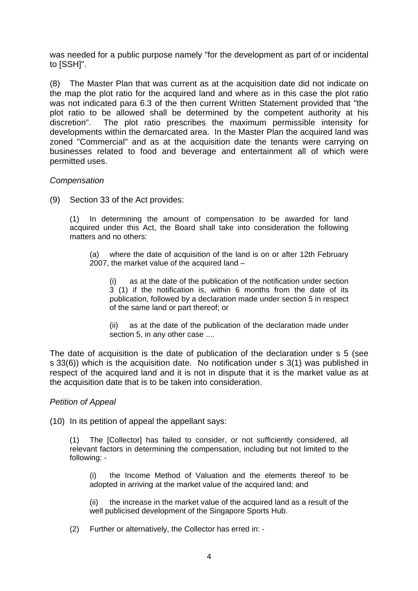was needed for a public purpose namely "for the development as part of or incidental to [SSH]".

(8) The Master Plan that was current as at the acquisition date did not indicate on the map the plot ratio for the acquired land and where as in this case the plot ratio was not indicated para 6.3 of the then current Written Statement provided that "the plot ratio to be allowed shall be determined by the competent authority at his discretion". The plot ratio prescribes the maximum permissible intensity for developments within the demarcated area. In the Master Plan the acquired land was zoned "Commercial" and as at the acquisition date the tenants were carrying on businesses related to food and beverage and entertainment all of which were permitted uses.

### *Compensation*

(9) Section 33 of the Act provides:

(1) In determining the amount of compensation to be awarded for land acquired under this Act, the Board shall take into consideration the following matters and no others:

(a) where the date of acquisition of the land is on or after 12th February 2007, the market value of the acquired land –

as at the date of the publication of the notification under section 3 (1) if the notification is, within 6 months from the date of its publication, followed by a declaration made under section 5 in respect of the same land or part thereof; or

(ii) as at the date of the publication of the declaration made under section 5, in any other case ....

The date of acquisition is the date of publication of the declaration under s 5 (see s 33(6)) which is the acquisition date. No notification under s 3(1) was published in respect of the acquired land and it is not in dispute that it is the market value as at the acquisition date that is to be taken into consideration.

## *Petition of Appeal*

(10) In its petition of appeal the appellant says:

(1) The [Collector] has failed to consider, or not sufficiently considered, all relevant factors in determining the compensation, including but not limited to the following: -

(i) the Income Method of Valuation and the elements thereof to be adopted in arriving at the market value of the acquired land; and

(ii) the increase in the market value of the acquired land as a result of the well publicised development of the Singapore Sports Hub.

(2) Further or alternatively, the Collector has erred in: -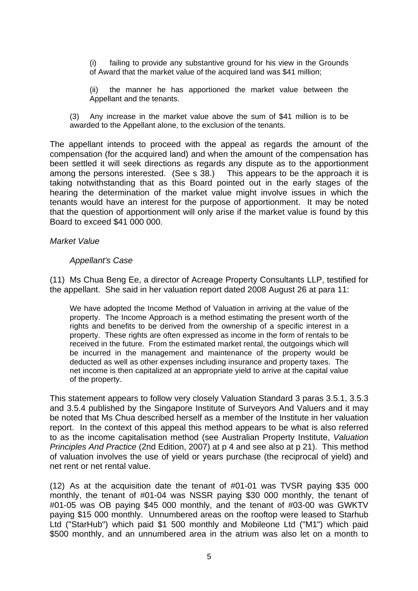- (i) failing to provide any substantive ground for his view in the Grounds of Award that the market value of the acquired land was \$41 million;
- (ii) the manner he has apportioned the market value between the Appellant and the tenants.
- (3) Any increase in the market value above the sum of \$41 million is to be awarded to the Appellant alone, to the exclusion of the tenants.

The appellant intends to proceed with the appeal as regards the amount of the compensation (for the acquired land) and when the amount of the compensation has been settled it will seek directions as regards any dispute as to the apportionment among the persons interested. (See s 38.) This appears to be the approach it is taking notwithstanding that as this Board pointed out in the early stages of the hearing the determination of the market value might involve issues in which the tenants would have an interest for the purpose of apportionment. It may be noted that the question of apportionment will only arise if the market value is found by this Board to exceed \$41 000 000.

#### *Market Value*

### *Appellant's Case*

(11) Ms Chua Beng Ee, a director of Acreage Property Consultants LLP, testified for the appellant. She said in her valuation report dated 2008 August 26 at para 11:

We have adopted the Income Method of Valuation in arriving at the value of the property. The Income Approach is a method estimating the present worth of the rights and benefits to be derived from the ownership of a specific interest in a property. These rights are often expressed as income in the form of rentals to be received in the future. From the estimated market rental, the outgoings which will be incurred in the management and maintenance of the property would be deducted as well as other expenses including insurance and property taxes. The net income is then capitalized at an appropriate yield to arrive at the capital value of the property.

This statement appears to follow very closely Valuation Standard 3 paras 3.5.1, 3.5.3 and 3.5.4 published by the Singapore Institute of Surveyors And Valuers and it may be noted that Ms Chua described herself as a member of the Institute in her valuation report. In the context of this appeal this method appears to be what is also referred to as the income capitalisation method (see Australian Property Institute, *Valuation Principles And Practice* (2nd Edition, 2007) at p 4 and see also at p 21). This method of valuation involves the use of yield or years purchase (the reciprocal of yield) and net rent or net rental value.

(12) As at the acquisition date the tenant of #01-01 was TVSR paying \$35 000 monthly, the tenant of #01-04 was NSSR paying \$30 000 monthly, the tenant of #01-05 was OB paying \$45 000 monthly, and the tenant of #03-00 was GWKTV paying \$15 000 monthly. Unnumbered areas on the rooftop were leased to Starhub Ltd ("StarHub") which paid \$1 500 monthly and Mobileone Ltd ("M1") which paid \$500 monthly, and an unnumbered area in the atrium was also let on a month to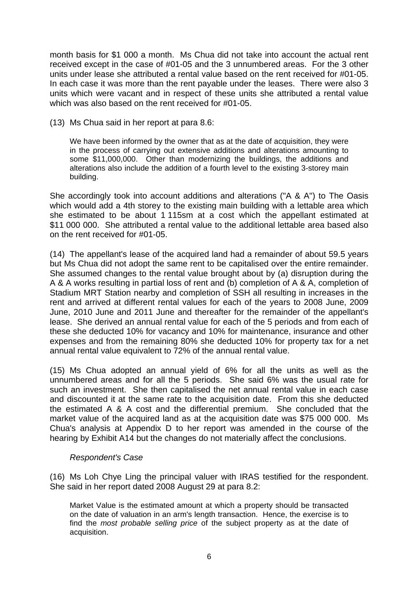month basis for \$1 000 a month. Ms Chua did not take into account the actual rent received except in the case of #01-05 and the 3 unnumbered areas. For the 3 other units under lease she attributed a rental value based on the rent received for #01-05. In each case it was more than the rent payable under the leases. There were also 3 units which were vacant and in respect of these units she attributed a rental value which was also based on the rent received for #01-05.

(13) Ms Chua said in her report at para 8.6:

We have been informed by the owner that as at the date of acquisition, they were in the process of carrying out extensive additions and alterations amounting to some \$11,000,000. Other than modernizing the buildings, the additions and alterations also include the addition of a fourth level to the existing 3-storey main building.

She accordingly took into account additions and alterations ("A & A") to The Oasis which would add a 4th storey to the existing main building with a lettable area which she estimated to be about 1 115sm at a cost which the appellant estimated at \$11 000 000. She attributed a rental value to the additional lettable area based also on the rent received for #01-05.

(14) The appellant's lease of the acquired land had a remainder of about 59.5 years but Ms Chua did not adopt the same rent to be capitalised over the entire remainder. She assumed changes to the rental value brought about by (a) disruption during the A & A works resulting in partial loss of rent and (b) completion of A & A, completion of Stadium MRT Station nearby and completion of SSH all resulting in increases in the rent and arrived at different rental values for each of the years to 2008 June, 2009 June, 2010 June and 2011 June and thereafter for the remainder of the appellant's lease. She derived an annual rental value for each of the 5 periods and from each of these she deducted 10% for vacancy and 10% for maintenance, insurance and other expenses and from the remaining 80% she deducted 10% for property tax for a net annual rental value equivalent to 72% of the annual rental value.

(15) Ms Chua adopted an annual yield of 6% for all the units as well as the unnumbered areas and for all the 5 periods. She said 6% was the usual rate for such an investment. She then capitalised the net annual rental value in each case and discounted it at the same rate to the acquisition date. From this she deducted the estimated A & A cost and the differential premium. She concluded that the market value of the acquired land as at the acquisition date was \$75 000 000. Ms Chua's analysis at Appendix D to her report was amended in the course of the hearing by Exhibit A14 but the changes do not materially affect the conclusions.

## *Respondent's Case*

(16) Ms Loh Chye Ling the principal valuer with IRAS testified for the respondent. She said in her report dated 2008 August 29 at para 8.2:

Market Value is the estimated amount at which a property should be transacted on the date of valuation in an arm's length transaction. Hence, the exercise is to find the *most probable selling price* of the subject property as at the date of acquisition.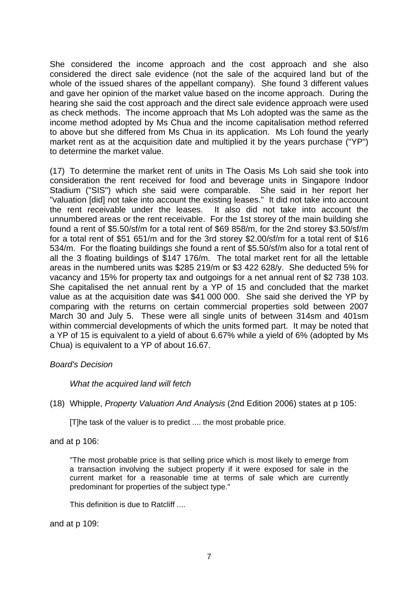She considered the income approach and the cost approach and she also considered the direct sale evidence (not the sale of the acquired land but of the whole of the issued shares of the appellant company). She found 3 different values and gave her opinion of the market value based on the income approach. During the hearing she said the cost approach and the direct sale evidence approach were used as check methods. The income approach that Ms Loh adopted was the same as the income method adopted by Ms Chua and the income capitalisation method referred to above but she differed from Ms Chua in its application. Ms Loh found the yearly market rent as at the acquisition date and multiplied it by the years purchase ("YP") to determine the market value.

(17) To determine the market rent of units in The Oasis Ms Loh said she took into consideration the rent received for food and beverage units in Singapore Indoor Stadium ("SIS") which she said were comparable. She said in her report her "valuation [did] not take into account the existing leases." It did not take into account the rent receivable under the leases. It also did not take into account the unnumbered areas or the rent receivable. For the 1st storey of the main building she found a rent of \$5.50/sf/m for a total rent of \$69 858/m, for the 2nd storey \$3.50/sf/m for a total rent of \$51 651/m and for the 3rd storey \$2.00/sf/m for a total rent of \$16 534/m. For the floating buildings she found a rent of \$5.50/sf/m also for a total rent of all the 3 floating buildings of \$147 176/m. The total market rent for all the lettable areas in the numbered units was \$285 219/m or \$3 422 628/y. She deducted 5% for vacancy and 15% for property tax and outgoings for a net annual rent of \$2 738 103. She capitalised the net annual rent by a YP of 15 and concluded that the market value as at the acquisition date was \$41 000 000. She said she derived the YP by comparing with the returns on certain commercial properties sold between 2007 March 30 and July 5. These were all single units of between 314sm and 401sm within commercial developments of which the units formed part. It may be noted that a YP of 15 is equivalent to a yield of about 6.67% while a yield of 6% (adopted by Ms Chua) is equivalent to a YP of about 16.67.

## *Board's Decision*

## *What the acquired land will fetch*

## (18) Whipple, *Property Valuation And Analysis* (2nd Edition 2006) states at p 105:

[T]he task of the valuer is to predict .... the most probable price.

#### and at p 106:

"The most probable price is that selling price which is most likely to emerge from a transaction involving the subject property if it were exposed for sale in the current market for a reasonable time at terms of sale which are currently predominant for properties of the subject type."

This definition is due to Ratcliff ....

and at p 109: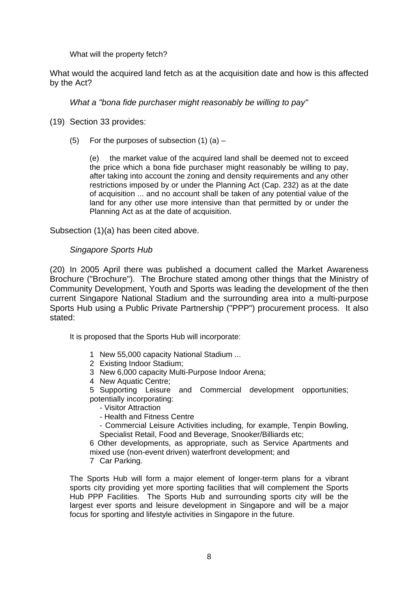What will the property fetch?

What would the acquired land fetch as at the acquisition date and how is this affected by the Act?

*What a "bona fide purchaser might reasonably be willing to pay"* 

- (19) Section 33 provides:
	- (5) For the purposes of subsection  $(1)$   $(a)$  –

(e) the market value of the acquired land shall be deemed not to exceed the price which a bona fide purchaser might reasonably be willing to pay, after taking into account the zoning and density requirements and any other restrictions imposed by or under the Planning Act (Cap. 232) as at the date of acquisition ... and no account shall be taken of any potential value of the land for any other use more intensive than that permitted by or under the Planning Act as at the date of acquisition.

Subsection (1)(a) has been cited above.

### *Singapore Sports Hub*

(20) In 2005 April there was published a document called the Market Awareness Brochure ("Brochure"). The Brochure stated among other things that the Ministry of Community Development, Youth and Sports was leading the development of the then current Singapore National Stadium and the surrounding area into a multi-purpose Sports Hub using a Public Private Partnership ("PPP") procurement process. It also stated:

It is proposed that the Sports Hub will incorporate:

- 1 New 55,000 capacity National Stadium ...
- 2 Existing Indoor Stadium;
- 3 New 6,000 capacity Multi-Purpose Indoor Arena;
- 4 New Aquatic Centre;

5 Supporting Leisure and Commercial development opportunities; potentially incorporating:

- Visitor Attraction
- Health and Fitness Centre
- Commercial Leisure Activities including, for example, Tenpin Bowling, Specialist Retail, Food and Beverage, Snooker/Billiards etc;

6 Other developments, as appropriate, such as Service Apartments and mixed use (non-event driven) waterfront development; and

7 Car Parking.

The Sports Hub will form a major element of longer-term plans for a vibrant sports city providing yet more sporting facilities that will complement the Sports Hub PPP Facilities. The Sports Hub and surrounding sports city will be the largest ever sports and leisure development in Singapore and will be a major focus for sporting and lifestyle activities in Singapore in the future.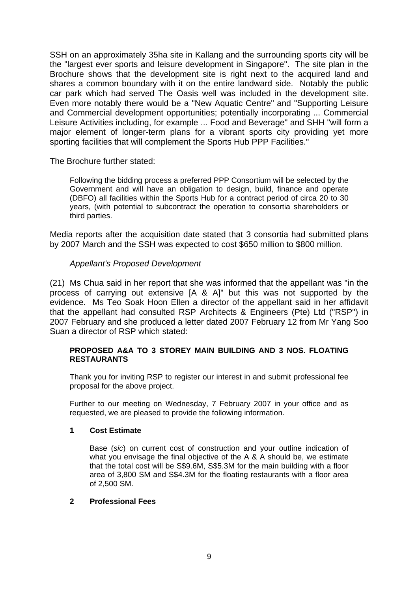SSH on an approximately 35ha site in Kallang and the surrounding sports city will be the "largest ever sports and leisure development in Singapore". The site plan in the Brochure shows that the development site is right next to the acquired land and shares a common boundary with it on the entire landward side. Notably the public car park which had served The Oasis well was included in the development site. Even more notably there would be a "New Aquatic Centre" and "Supporting Leisure and Commercial development opportunities; potentially incorporating ... Commercial Leisure Activities including, for example ... Food and Beverage" and SHH "will form a major element of longer-term plans for a vibrant sports city providing yet more sporting facilities that will complement the Sports Hub PPP Facilities."

The Brochure further stated:

Following the bidding process a preferred PPP Consortium will be selected by the Government and will have an obligation to design, build, finance and operate (DBFO) all facilities within the Sports Hub for a contract period of circa 20 to 30 years, (with potential to subcontract the operation to consortia shareholders or third parties.

Media reports after the acquisition date stated that 3 consortia had submitted plans by 2007 March and the SSH was expected to cost \$650 million to \$800 million.

## *Appellant's Proposed Development*

(21) Ms Chua said in her report that she was informed that the appellant was "in the process of carrying out extensive [A & A]" but this was not supported by the evidence. Ms Teo Soak Hoon Ellen a director of the appellant said in her affidavit that the appellant had consulted RSP Architects & Engineers (Pte) Ltd ("RSP") in 2007 February and she produced a letter dated 2007 February 12 from Mr Yang Soo Suan a director of RSP which stated:

#### **PROPOSED A&A TO 3 STOREY MAIN BUILDING AND 3 NOS. FLOATING RESTAURANTS**

Thank you for inviting RSP to register our interest in and submit professional fee proposal for the above project.

Further to our meeting on Wednesday, 7 February 2007 in your office and as requested, we are pleased to provide the following information.

#### **1 Cost Estimate**

Base (*sic*) on current cost of construction and your outline indication of what you envisage the final objective of the A & A should be, we estimate that the total cost will be S\$9.6M, S\$5.3M for the main building with a floor area of 3,800 SM and S\$4.3M for the floating restaurants with a floor area of 2,500 SM.

#### **2 Professional Fees**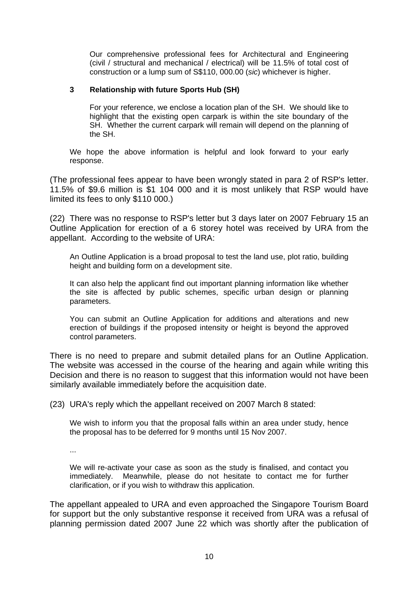Our comprehensive professional fees for Architectural and Engineering (civil / structural and mechanical / electrical) will be 11.5% of total cost of construction or a lump sum of S\$110, 000.00 (*sic*) whichever is higher.

#### **3 Relationship with future Sports Hub (SH)**

For your reference, we enclose a location plan of the SH. We should like to highlight that the existing open carpark is within the site boundary of the SH. Whether the current carpark will remain will depend on the planning of the SH.

We hope the above information is helpful and look forward to your early response.

(The professional fees appear to have been wrongly stated in para 2 of RSP's letter. 11.5% of \$9.6 million is \$1 104 000 and it is most unlikely that RSP would have limited its fees to only \$110 000.)

(22) There was no response to RSP's letter but 3 days later on 2007 February 15 an Outline Application for erection of a 6 storey hotel was received by URA from the appellant. According to the website of URA:

An Outline Application is a broad proposal to test the land use, plot ratio, building height and building form on a development site.

It can also help the applicant find out important planning information like whether the site is affected by public schemes, specific urban design or planning parameters.

You can submit an Outline Application for additions and alterations and new erection of buildings if the proposed intensity or height is beyond the approved control parameters.

There is no need to prepare and submit detailed plans for an Outline Application. The website was accessed in the course of the hearing and again while writing this Decision and there is no reason to suggest that this information would not have been similarly available immediately before the acquisition date.

(23) URA's reply which the appellant received on 2007 March 8 stated:

We wish to inform you that the proposal falls within an area under study, hence the proposal has to be deferred for 9 months until 15 Nov 2007.

...

We will re-activate your case as soon as the study is finalised, and contact you immediately. Meanwhile, please do not hesitate to contact me for further clarification, or if you wish to withdraw this application.

The appellant appealed to URA and even approached the Singapore Tourism Board for support but the only substantive response it received from URA was a refusal of planning permission dated 2007 June 22 which was shortly after the publication of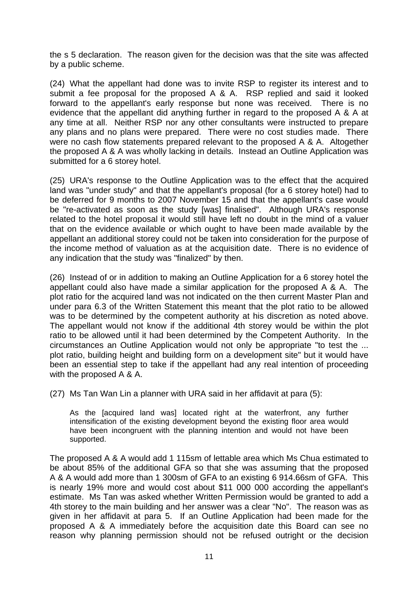the s 5 declaration. The reason given for the decision was that the site was affected by a public scheme.

(24) What the appellant had done was to invite RSP to register its interest and to submit a fee proposal for the proposed A & A. RSP replied and said it looked forward to the appellant's early response but none was received. There is no evidence that the appellant did anything further in regard to the proposed A & A at any time at all. Neither RSP nor any other consultants were instructed to prepare any plans and no plans were prepared. There were no cost studies made. There were no cash flow statements prepared relevant to the proposed A & A. Altogether the proposed A & A was wholly lacking in details. Instead an Outline Application was submitted for a 6 storey hotel.

(25) URA's response to the Outline Application was to the effect that the acquired land was "under study" and that the appellant's proposal (for a 6 storey hotel) had to be deferred for 9 months to 2007 November 15 and that the appellant's case would be "re-activated as soon as the study [was] finalised". Although URA's response related to the hotel proposal it would still have left no doubt in the mind of a valuer that on the evidence available or which ought to have been made available by the appellant an additional storey could not be taken into consideration for the purpose of the income method of valuation as at the acquisition date. There is no evidence of any indication that the study was "finalized" by then.

(26) Instead of or in addition to making an Outline Application for a 6 storey hotel the appellant could also have made a similar application for the proposed A & A. The plot ratio for the acquired land was not indicated on the then current Master Plan and under para 6.3 of the Written Statement this meant that the plot ratio to be allowed was to be determined by the competent authority at his discretion as noted above. The appellant would not know if the additional 4th storey would be within the plot ratio to be allowed until it had been determined by the Competent Authority. In the circumstances an Outline Application would not only be appropriate "to test the ... plot ratio, building height and building form on a development site" but it would have been an essential step to take if the appellant had any real intention of proceeding with the proposed A & A.

(27) Ms Tan Wan Lin a planner with URA said in her affidavit at para (5):

As the [acquired land was] located right at the waterfront, any further intensification of the existing development beyond the existing floor area would have been incongruent with the planning intention and would not have been supported.

The proposed A & A would add 1 115sm of lettable area which Ms Chua estimated to be about 85% of the additional GFA so that she was assuming that the proposed A & A would add more than 1 300sm of GFA to an existing 6 914.66sm of GFA. This is nearly 19% more and would cost about \$11 000 000 according the appellant's estimate. Ms Tan was asked whether Written Permission would be granted to add a 4th storey to the main building and her answer was a clear "No". The reason was as given in her affidavit at para 5. If an Outline Application had been made for the proposed A & A immediately before the acquisition date this Board can see no reason why planning permission should not be refused outright or the decision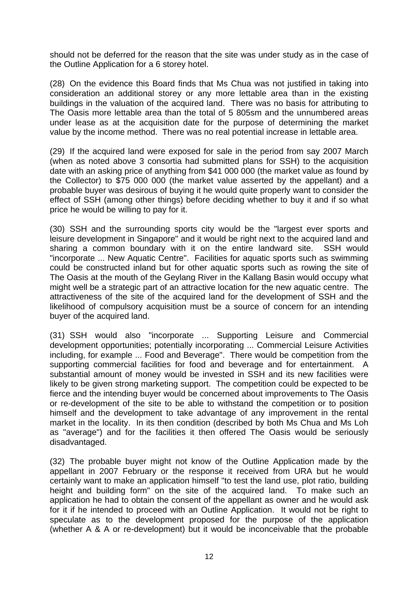should not be deferred for the reason that the site was under study as in the case of the Outline Application for a 6 storey hotel.

(28) On the evidence this Board finds that Ms Chua was not justified in taking into consideration an additional storey or any more lettable area than in the existing buildings in the valuation of the acquired land. There was no basis for attributing to The Oasis more lettable area than the total of 5 805sm and the unnumbered areas under lease as at the acquisition date for the purpose of determining the market value by the income method. There was no real potential increase in lettable area.

(29) If the acquired land were exposed for sale in the period from say 2007 March (when as noted above 3 consortia had submitted plans for SSH) to the acquisition date with an asking price of anything from \$41 000 000 (the market value as found by the Collector) to \$75 000 000 (the market value asserted by the appellant) and a probable buyer was desirous of buying it he would quite properly want to consider the effect of SSH (among other things) before deciding whether to buy it and if so what price he would be willing to pay for it.

(30) SSH and the surrounding sports city would be the "largest ever sports and leisure development in Singapore" and it would be right next to the acquired land and sharing a common boundary with it on the entire landward site. SSH would "incorporate ... New Aquatic Centre". Facilities for aquatic sports such as swimming could be constructed inland but for other aquatic sports such as rowing the site of The Oasis at the mouth of the Geylang River in the Kallang Basin would occupy what might well be a strategic part of an attractive location for the new aquatic centre. The attractiveness of the site of the acquired land for the development of SSH and the likelihood of compulsory acquisition must be a source of concern for an intending buyer of the acquired land.

(31) SSH would also "incorporate ... Supporting Leisure and Commercial development opportunities; potentially incorporating ... Commercial Leisure Activities including, for example ... Food and Beverage". There would be competition from the supporting commercial facilities for food and beverage and for entertainment. A substantial amount of money would be invested in SSH and its new facilities were likely to be given strong marketing support. The competition could be expected to be fierce and the intending buyer would be concerned about improvements to The Oasis or re-development of the site to be able to withstand the competition or to position himself and the development to take advantage of any improvement in the rental market in the locality. In its then condition (described by both Ms Chua and Ms Loh as "average") and for the facilities it then offered The Oasis would be seriously disadvantaged.

(32) The probable buyer might not know of the Outline Application made by the appellant in 2007 February or the response it received from URA but he would certainly want to make an application himself "to test the land use, plot ratio, building height and building form" on the site of the acquired land. To make such an application he had to obtain the consent of the appellant as owner and he would ask for it if he intended to proceed with an Outline Application. It would not be right to speculate as to the development proposed for the purpose of the application (whether A & A or re-development) but it would be inconceivable that the probable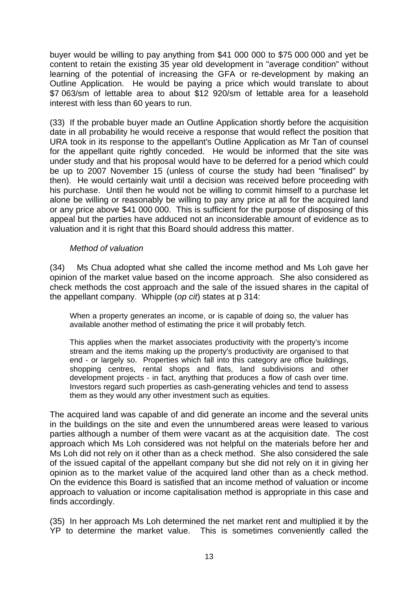buyer would be willing to pay anything from \$41 000 000 to \$75 000 000 and yet be content to retain the existing 35 year old development in "average condition" without learning of the potential of increasing the GFA or re-development by making an Outline Application. He would be paying a price which would translate to about \$7 063/sm of lettable area to about \$12 920/sm of lettable area for a leasehold interest with less than 60 years to run.

(33) If the probable buyer made an Outline Application shortly before the acquisition date in all probability he would receive a response that would reflect the position that URA took in its response to the appellant's Outline Application as Mr Tan of counsel for the appellant quite rightly conceded. He would be informed that the site was under study and that his proposal would have to be deferred for a period which could be up to 2007 November 15 (unless of course the study had been "finalised" by then). He would certainly wait until a decision was received before proceeding with his purchase. Until then he would not be willing to commit himself to a purchase let alone be willing or reasonably be willing to pay any price at all for the acquired land or any price above \$41 000 000. This is sufficient for the purpose of disposing of this appeal but the parties have adduced not an inconsiderable amount of evidence as to valuation and it is right that this Board should address this matter.

### *Method of valuation*

(34) Ms Chua adopted what she called the income method and Ms Loh gave her opinion of the market value based on the income approach. She also considered as check methods the cost approach and the sale of the issued shares in the capital of the appellant company. Whipple (*op cit*) states at p 314:

When a property generates an income, or is capable of doing so, the valuer has available another method of estimating the price it will probably fetch.

This applies when the market associates productivity with the property's income stream and the items making up the property's productivity are organised to that end - or largely so. Properties which fall into this category are office buildings, shopping centres, rental shops and flats, land subdivisions and other development projects - in fact, anything that produces a flow of cash over time. Investors regard such properties as cash-generating vehicles and tend to assess them as they would any other investment such as equities.

The acquired land was capable of and did generate an income and the several units in the buildings on the site and even the unnumbered areas were leased to various parties although a number of them were vacant as at the acquisition date. The cost approach which Ms Loh considered was not helpful on the materials before her and Ms Loh did not rely on it other than as a check method. She also considered the sale of the issued capital of the appellant company but she did not rely on it in giving her opinion as to the market value of the acquired land other than as a check method. On the evidence this Board is satisfied that an income method of valuation or income approach to valuation or income capitalisation method is appropriate in this case and finds accordingly.

(35) In her approach Ms Loh determined the net market rent and multiplied it by the YP to determine the market value. This is sometimes conveniently called the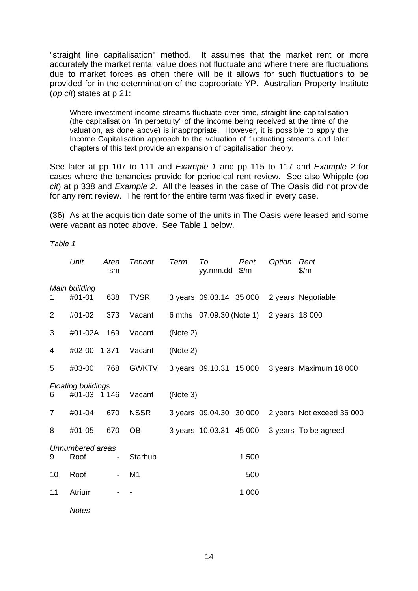"straight line capitalisation" method. It assumes that the market rent or more accurately the market rental value does not fluctuate and where there are fluctuations due to market forces as often there will be it allows for such fluctuations to be provided for in the determination of the appropriate YP. Australian Property Institute (*op cit*) states at p 21:

Where investment income streams fluctuate over time, straight line capitalisation (the capitalisation "in perpetuity" of the income being received at the time of the valuation, as done above) is inappropriate. However, it is possible to apply the Income Capitalisation approach to the valuation of fluctuating streams and later chapters of this text provide an expansion of capitalisation theory.

See later at pp 107 to 111 and *Example 1* and pp 115 to 117 and *Example 2* for cases where the tenancies provide for periodical rent review. See also Whipple (*op cit*) at p 338 and *Example 2*. All the leases in the case of The Oasis did not provide for any rent review. The rent for the entire term was fixed in every case.

(36) As at the acquisition date some of the units in The Oasis were leased and some were vacant as noted above. See Table 1 below.

*Table 1*

|                | Unit                                      | Area<br>sm               | Tenant         | Term     | To<br>yy.mm.dd           | Rent<br>$\frac{m}{2}$ | Option         | Rent<br>$\frac{m}{2}$     |
|----------------|-------------------------------------------|--------------------------|----------------|----------|--------------------------|-----------------------|----------------|---------------------------|
| 1              | Main building<br>#01-01                   | 638                      | <b>TVSR</b>    |          | 3 years 09.03.14 35 000  |                       |                | 2 years Negotiable        |
| $\overline{2}$ | #01-02                                    | 373                      | Vacant         |          | 6 mths 07.09.30 (Note 1) |                       | 2 years 18 000 |                           |
| 3              | #01-02A                                   | 169                      | Vacant         | (Note 2) |                          |                       |                |                           |
| 4              | #02-00                                    | 1 3 7 1                  | Vacant         | (Note 2) |                          |                       |                |                           |
| 5              | #03-00                                    | 768                      | <b>GWKTV</b>   |          | 3 years 09.10.31 15 000  |                       |                | 3 years Maximum 18 000    |
| 6              | <b>Floating buildings</b><br>#01-03 1 146 |                          | Vacant         | (Note 3) |                          |                       |                |                           |
| $\overline{7}$ | #01-04                                    | 670                      | <b>NSSR</b>    |          | 3 years 09.04.30 30 000  |                       |                | 2 years Not exceed 36 000 |
| 8              | #01-05                                    | 670                      | <b>OB</b>      |          | 3 years 10.03.31 45 000  |                       |                | 3 years To be agreed      |
| 9              | Unnumbered areas<br>Roof                  | $\overline{\phantom{a}}$ | Starhub        |          |                          | 1 500                 |                |                           |
| 10             | Roof                                      | $\overline{\phantom{a}}$ | M <sub>1</sub> |          |                          | 500                   |                |                           |
| 11             | Atrium                                    |                          |                |          |                          | 1 0 0 0               |                |                           |
|                | <b>Notes</b>                              |                          |                |          |                          |                       |                |                           |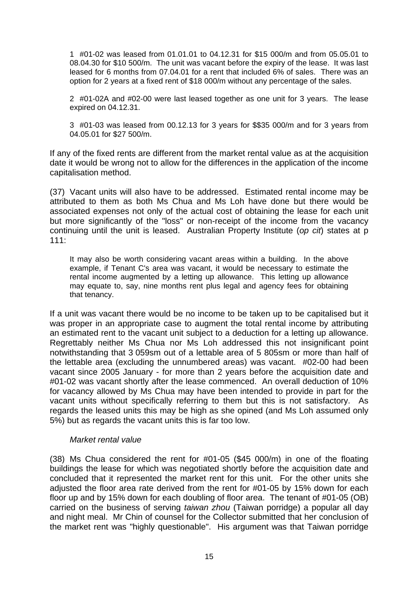1 #01-02 was leased from 01.01.01 to 04.12.31 for \$15 000/m and from 05.05.01 to 08.04.30 for \$10 500/m. The unit was vacant before the expiry of the lease. It was last leased for 6 months from 07.04.01 for a rent that included 6% of sales. There was an option for 2 years at a fixed rent of \$18 000/m without any percentage of the sales.

2 #01-02A and #02-00 were last leased together as one unit for 3 years. The lease expired on 04.12.31.

3 #01-03 was leased from 00.12.13 for 3 years for \$\$35 000/m and for 3 years from 04.05.01 for \$27 500/m.

If any of the fixed rents are different from the market rental value as at the acquisition date it would be wrong not to allow for the differences in the application of the income capitalisation method.

(37) Vacant units will also have to be addressed. Estimated rental income may be attributed to them as both Ms Chua and Ms Loh have done but there would be associated expenses not only of the actual cost of obtaining the lease for each unit but more significantly of the "loss" or non-receipt of the income from the vacancy continuing until the unit is leased. Australian Property Institute (*op cit*) states at p 111:

It may also be worth considering vacant areas within a building. In the above example, if Tenant C's area was vacant, it would be necessary to estimate the rental income augmented by a letting up allowance. This letting up allowance may equate to, say, nine months rent plus legal and agency fees for obtaining that tenancy.

If a unit was vacant there would be no income to be taken up to be capitalised but it was proper in an appropriate case to augment the total rental income by attributing an estimated rent to the vacant unit subject to a deduction for a letting up allowance. Regrettably neither Ms Chua nor Ms Loh addressed this not insignificant point notwithstanding that 3 059sm out of a lettable area of 5 805sm or more than half of the lettable area (excluding the unnumbered areas) was vacant. #02-00 had been vacant since 2005 January - for more than 2 years before the acquisition date and #01-02 was vacant shortly after the lease commenced. An overall deduction of 10% for vacancy allowed by Ms Chua may have been intended to provide in part for the vacant units without specifically referring to them but this is not satisfactory. As regards the leased units this may be high as she opined (and Ms Loh assumed only 5%) but as regards the vacant units this is far too low.

## *Market rental value*

(38) Ms Chua considered the rent for #01-05 (\$45 000/m) in one of the floating buildings the lease for which was negotiated shortly before the acquisition date and concluded that it represented the market rent for this unit. For the other units she adjusted the floor area rate derived from the rent for #01-05 by 15% down for each floor up and by 15% down for each doubling of floor area. The tenant of #01-05 (OB) carried on the business of serving *taiwan zhou* (Taiwan porridge) a popular all day and night meal. Mr Chin of counsel for the Collector submitted that her conclusion of the market rent was "highly questionable". His argument was that Taiwan porridge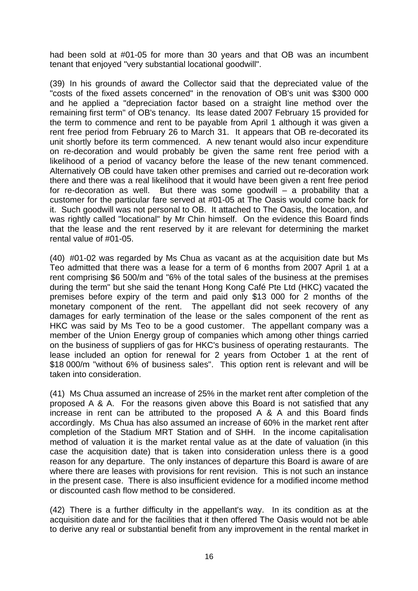had been sold at #01-05 for more than 30 years and that OB was an incumbent tenant that enjoyed "very substantial locational goodwill".

(39) In his grounds of award the Collector said that the depreciated value of the "costs of the fixed assets concerned" in the renovation of OB's unit was \$300 000 and he applied a "depreciation factor based on a straight line method over the remaining first term" of OB's tenancy. Its lease dated 2007 February 15 provided for the term to commence and rent to be payable from April 1 although it was given a rent free period from February 26 to March 31. It appears that OB re-decorated its unit shortly before its term commenced. A new tenant would also incur expenditure on re-decoration and would probably be given the same rent free period with a likelihood of a period of vacancy before the lease of the new tenant commenced. Alternatively OB could have taken other premises and carried out re-decoration work there and there was a real likelihood that it would have been given a rent free period for re-decoration as well. But there was some goodwill – a probability that a customer for the particular fare served at #01-05 at The Oasis would come back for it. Such goodwill was not personal to OB. It attached to The Oasis, the location, and was rightly called "locational" by Mr Chin himself. On the evidence this Board finds that the lease and the rent reserved by it are relevant for determining the market rental value of #01-05.

(40) #01-02 was regarded by Ms Chua as vacant as at the acquisition date but Ms Teo admitted that there was a lease for a term of 6 months from 2007 April 1 at a rent comprising \$6 500/m and "6% of the total sales of the business at the premises during the term" but she said the tenant Hong Kong Café Pte Ltd (HKC) vacated the premises before expiry of the term and paid only \$13 000 for 2 months of the monetary component of the rent. The appellant did not seek recovery of any damages for early termination of the lease or the sales component of the rent as HKC was said by Ms Teo to be a good customer. The appellant company was a member of the Union Energy group of companies which among other things carried on the business of suppliers of gas for HKC's business of operating restaurants. The lease included an option for renewal for 2 years from October 1 at the rent of \$18 000/m "without 6% of business sales". This option rent is relevant and will be taken into consideration.

(41) Ms Chua assumed an increase of 25% in the market rent after completion of the proposed A & A. For the reasons given above this Board is not satisfied that any increase in rent can be attributed to the proposed A & A and this Board finds accordingly. Ms Chua has also assumed an increase of 60% in the market rent after completion of the Stadium MRT Station and of SHH. In the income capitalisation method of valuation it is the market rental value as at the date of valuation (in this case the acquisition date) that is taken into consideration unless there is a good reason for any departure. The only instances of departure this Board is aware of are where there are leases with provisions for rent revision. This is not such an instance in the present case. There is also insufficient evidence for a modified income method or discounted cash flow method to be considered.

(42) There is a further difficulty in the appellant's way. In its condition as at the acquisition date and for the facilities that it then offered The Oasis would not be able to derive any real or substantial benefit from any improvement in the rental market in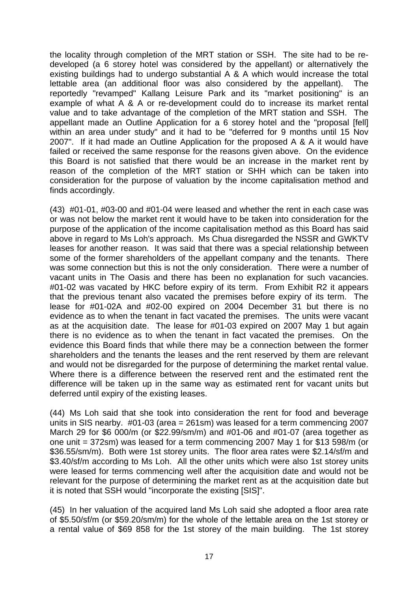the locality through completion of the MRT station or SSH. The site had to be redeveloped (a 6 storey hotel was considered by the appellant) or alternatively the existing buildings had to undergo substantial A & A which would increase the total lettable area (an additional floor was also considered by the appellant). The reportedly "revamped" Kallang Leisure Park and its "market positioning" is an example of what A & A or re-development could do to increase its market rental value and to take advantage of the completion of the MRT station and SSH. The appellant made an Outline Application for a 6 storey hotel and the "proposal [fell] within an area under study" and it had to be "deferred for 9 months until 15 Nov 2007". If it had made an Outline Application for the proposed A & A it would have failed or received the same response for the reasons given above. On the evidence this Board is not satisfied that there would be an increase in the market rent by reason of the completion of the MRT station or SHH which can be taken into consideration for the purpose of valuation by the income capitalisation method and finds accordingly.

(43) #01-01, #03-00 and #01-04 were leased and whether the rent in each case was or was not below the market rent it would have to be taken into consideration for the purpose of the application of the income capitalisation method as this Board has said above in regard to Ms Loh's approach. Ms Chua disregarded the NSSR and GWKTV leases for another reason. It was said that there was a special relationship between some of the former shareholders of the appellant company and the tenants. There was some connection but this is not the only consideration. There were a number of vacant units in The Oasis and there has been no explanation for such vacancies. #01-02 was vacated by HKC before expiry of its term. From Exhibit R2 it appears that the previous tenant also vacated the premises before expiry of its term. The lease for #01-02A and #02-00 expired on 2004 December 31 but there is no evidence as to when the tenant in fact vacated the premises. The units were vacant as at the acquisition date. The lease for #01-03 expired on 2007 May 1 but again there is no evidence as to when the tenant in fact vacated the premises. On the evidence this Board finds that while there may be a connection between the former shareholders and the tenants the leases and the rent reserved by them are relevant and would not be disregarded for the purpose of determining the market rental value. Where there is a difference between the reserved rent and the estimated rent the difference will be taken up in the same way as estimated rent for vacant units but deferred until expiry of the existing leases.

(44) Ms Loh said that she took into consideration the rent for food and beverage units in SIS nearby. #01-03 (area = 261sm) was leased for a term commencing 2007 March 29 for \$6 000/m (or \$22.99/sm/m) and #01-06 and #01-07 (area together as one unit = 372sm) was leased for a term commencing 2007 May 1 for \$13 598/m (or \$36.55/sm/m). Both were 1st storey units. The floor area rates were \$2.14/sf/m and \$3.40/sf/m according to Ms Loh. All the other units which were also 1st storey units were leased for terms commencing well after the acquisition date and would not be relevant for the purpose of determining the market rent as at the acquisition date but it is noted that SSH would "incorporate the existing [SIS]".

(45) In her valuation of the acquired land Ms Loh said she adopted a floor area rate of \$5.50/sf/m (or \$59.20/sm/m) for the whole of the lettable area on the 1st storey or a rental value of \$69 858 for the 1st storey of the main building. The 1st storey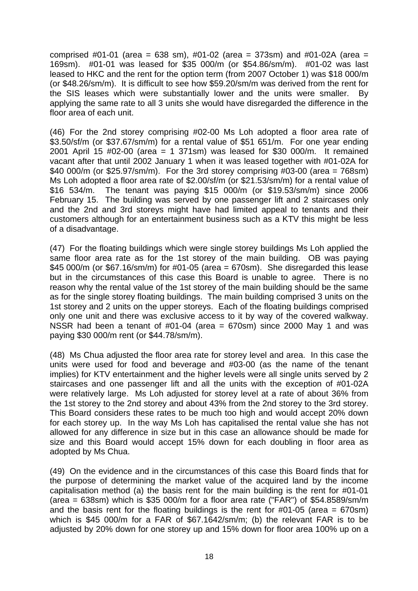comprised #01-01 (area = 638 sm), #01-02 (area = 373sm) and #01-02A (area = 169sm). #01-01 was leased for \$35 000/m (or \$54.86/sm/m). #01-02 was last leased to HKC and the rent for the option term (from 2007 October 1) was \$18 000/m (or \$48.26/sm/m). It is difficult to see how \$59.20/sm/m was derived from the rent for the SIS leases which were substantially lower and the units were smaller. By applying the same rate to all 3 units she would have disregarded the difference in the floor area of each unit.

(46) For the 2nd storey comprising #02-00 Ms Loh adopted a floor area rate of \$3.50/sf/m (or \$37.67/sm/m) for a rental value of \$51 651/m. For one year ending 2001 April 15 #02-00 (area = 1 371sm) was leased for \$30 000/m. It remained vacant after that until 2002 January 1 when it was leased together with #01-02A for \$40 000/m (or \$25.97/sm/m). For the 3rd storey comprising  $\#03$ -00 (area = 768sm) Ms Loh adopted a floor area rate of \$2.00/sf/m (or \$21.53/sm/m) for a rental value of \$16 534/m. The tenant was paying \$15 000/m (or \$19.53/sm/m) since 2006 February 15. The building was served by one passenger lift and 2 staircases only and the 2nd and 3rd storeys might have had limited appeal to tenants and their customers although for an entertainment business such as a KTV this might be less of a disadvantage.

(47) For the floating buildings which were single storey buildings Ms Loh applied the same floor area rate as for the 1st storey of the main building. OB was paying \$45 000/m (or \$67.16/sm/m) for #01-05 (area = 670sm). She disregarded this lease but in the circumstances of this case this Board is unable to agree. There is no reason why the rental value of the 1st storey of the main building should be the same as for the single storey floating buildings. The main building comprised 3 units on the 1st storey and 2 units on the upper storeys. Each of the floating buildings comprised only one unit and there was exclusive access to it by way of the covered walkway. NSSR had been a tenant of  $#01-04$  (area = 670sm) since 2000 May 1 and was paying \$30 000/m rent (or \$44.78/sm/m).

(48) Ms Chua adjusted the floor area rate for storey level and area. In this case the units were used for food and beverage and #03-00 (as the name of the tenant implies) for KTV entertainment and the higher levels were all single units served by 2 staircases and one passenger lift and all the units with the exception of #01-02A were relatively large. Ms Loh adjusted for storey level at a rate of about 36% from the 1st storey to the 2nd storey and about 43% from the 2nd storey to the 3rd storey. This Board considers these rates to be much too high and would accept 20% down for each storey up. In the way Ms Loh has capitalised the rental value she has not allowed for any difference in size but in this case an allowance should be made for size and this Board would accept 15% down for each doubling in floor area as adopted by Ms Chua.

(49) On the evidence and in the circumstances of this case this Board finds that for the purpose of determining the market value of the acquired land by the income capitalisation method (a) the basis rent for the main building is the rent for #01-01 (area =  $638$ sm) which is \$35 000/m for a floor area rate ("FAR") of \$54.8589/sm/m and the basis rent for the floating buildings is the rent for  $\#01$ -05 (area = 670sm) which is \$45 000/m for a FAR of \$67.1642/sm/m; (b) the relevant FAR is to be adjusted by 20% down for one storey up and 15% down for floor area 100% up on a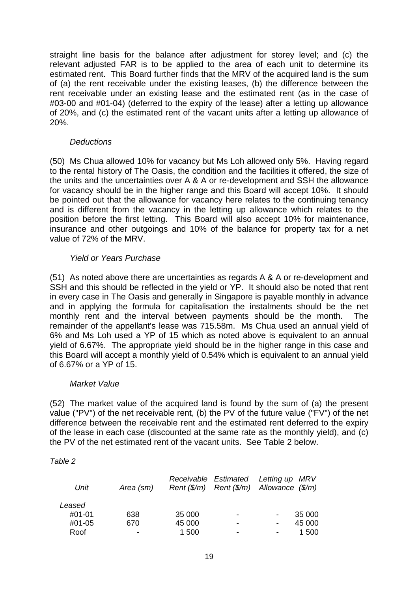straight line basis for the balance after adjustment for storey level; and (c) the relevant adjusted FAR is to be applied to the area of each unit to determine its estimated rent. This Board further finds that the MRV of the acquired land is the sum of (a) the rent receivable under the existing leases, (b) the difference between the rent receivable under an existing lease and the estimated rent (as in the case of #03-00 and #01-04) (deferred to the expiry of the lease) after a letting up allowance of 20%, and (c) the estimated rent of the vacant units after a letting up allowance of 20%.

### *Deductions*

(50) Ms Chua allowed 10% for vacancy but Ms Loh allowed only 5%. Having regard to the rental history of The Oasis, the condition and the facilities it offered, the size of the units and the uncertainties over A & A or re-development and SSH the allowance for vacancy should be in the higher range and this Board will accept 10%. It should be pointed out that the allowance for vacancy here relates to the continuing tenancy and is different from the vacancy in the letting up allowance which relates to the position before the first letting. This Board will also accept 10% for maintenance, insurance and other outgoings and 10% of the balance for property tax for a net value of 72% of the MRV.

## *Yield or Years Purchase*

(51) As noted above there are uncertainties as regards A & A or re-development and SSH and this should be reflected in the yield or YP. It should also be noted that rent in every case in The Oasis and generally in Singapore is payable monthly in advance and in applying the formula for capitalisation the instalments should be the net monthly rent and the interval between payments should be the month. The remainder of the appellant's lease was 715.58m. Ms Chua used an annual yield of 6% and Ms Loh used a YP of 15 which as noted above is equivalent to an annual yield of 6.67%. The appropriate yield should be in the higher range in this case and this Board will accept a monthly yield of 0.54% which is equivalent to an annual yield of 6.67% or a YP of 15.

## *Market Value*

(52) The market value of the acquired land is found by the sum of (a) the present value ("PV") of the net receivable rent, (b) the PV of the future value ("FV") of the net difference between the receivable rent and the estimated rent deferred to the expiry of the lease in each case (discounted at the same rate as the monthly yield), and (c) the PV of the net estimated rent of the vacant units. See Table 2 below.

### *Table 2*

| Unit   | Area (sm)      |        | Receivable Estimated Letting up MRV<br>Rent $(\frac{5}{m})$ Rent $(\frac{5}{m})$ Allowance $(\frac{5}{m})$ |   |        |
|--------|----------------|--------|------------------------------------------------------------------------------------------------------------|---|--------|
| Leased |                |        |                                                                                                            |   |        |
| #01-01 | 638            | 35 000 | $\blacksquare$                                                                                             |   | 35 000 |
| #01-05 | 670            | 45 000 | -                                                                                                          | - | 45 000 |
| Roof   | $\blacksquare$ | 1 500  | $\overline{\phantom{0}}$                                                                                   | - | 1 500  |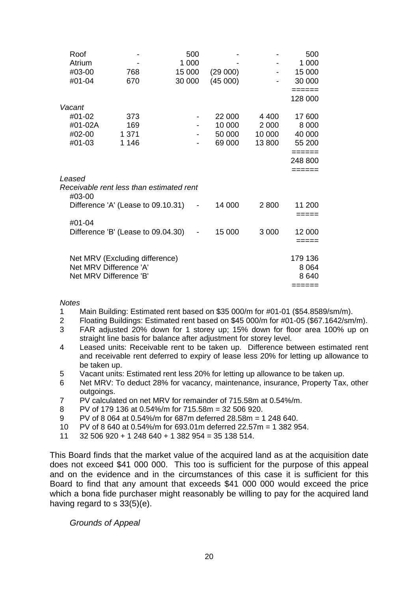| Roof    |                                          | 500                      |          |         | 500     |  |
|---------|------------------------------------------|--------------------------|----------|---------|---------|--|
| Atrium  |                                          | 1 000                    |          |         | 1 000   |  |
| #03-00  | 768                                      | 15 000                   | (29 000) |         | 15 000  |  |
| #01-04  | 670                                      | 30 000                   | (45000)  |         | 30 000  |  |
|         |                                          |                          |          |         |         |  |
|         |                                          |                          |          |         | 128 000 |  |
| Vacant  |                                          |                          |          |         |         |  |
| #01-02  | 373                                      |                          | 22 000   | 4 400   | 17600   |  |
| #01-02A | 169                                      |                          | 10 000   | 2 0 0 0 | 8 0 0 0 |  |
| #02-00  | 1 3 7 1                                  |                          | 50 000   | 10 000  | 40 000  |  |
| #01-03  | 1 1 4 6                                  |                          | 69 000   | 13 800  | 55 200  |  |
|         |                                          |                          |          |         | ======  |  |
|         |                                          |                          |          |         | 248 800 |  |
|         |                                          |                          |          |         | ======  |  |
| Leased  |                                          |                          |          |         |         |  |
|         | Receivable rent less than estimated rent |                          |          |         |         |  |
| #03-00  |                                          |                          |          |         |         |  |
|         | Difference 'A' (Lease to 09.10.31)       | $\overline{\phantom{a}}$ | 14 000   | 2800    | 11 200  |  |
|         |                                          |                          |          |         | =====   |  |
| #01-04  |                                          |                          |          |         |         |  |
|         | Difference 'B' (Lease to 09.04.30)       |                          | 15 000   | 3 0 0 0 | 12 000  |  |
|         |                                          |                          |          |         | =====   |  |
|         |                                          |                          |          |         |         |  |
|         | Net MRV (Excluding difference)           |                          |          |         | 179 136 |  |
|         | Net MRV Difference 'A'                   |                          |          |         | 8 0 64  |  |
|         | Net MRV Difference 'B'                   |                          |          |         | 8640    |  |
|         |                                          |                          |          |         | ======  |  |

*Notes*

- 1 Main Building: Estimated rent based on \$35 000/m for #01-01 (\$54.8589/sm/m).<br>2 Eloating Buildings: Estimated rent based on \$45 000/m for #01-05 (\$67 1642/sm
- 2 Floating Buildings: Estimated rent based on \$45 000/m for #01-05 (\$67.1642/sm/m).
- 3 FAR adjusted 20% down for 1 storey up; 15% down for floor area 100% up on straight line basis for balance after adjustment for storey level.
- 4 Leased units: Receivable rent to be taken up. Difference between estimated rent and receivable rent deferred to expiry of lease less 20% for letting up allowance to be taken up.
- 5 Vacant units: Estimated rent less 20% for letting up allowance to be taken up.
- 6 Net MRV: To deduct 28% for vacancy, maintenance, insurance, Property Tax, other outgoings.
- 7 PV calculated on net MRV for remainder of 715.58m at 0.54%/m.
- 8 PV of 179 136 at 0.54%/m for 715.58m = 32 506 920.
- 9 PV of 8 064 at 0.54%/m for 687m deferred 28.58m = 1 248 640.
- 10 PV of 8 640 at 0.54%/m for 693.01m deferred 22.57m = 1 382 954.
- 11 32 506 920 + 1 248 640 + 1 382 954 = 35 138 514.

This Board finds that the market value of the acquired land as at the acquisition date does not exceed \$41 000 000. This too is sufficient for the purpose of this appeal and on the evidence and in the circumstances of this case it is sufficient for this Board to find that any amount that exceeds \$41 000 000 would exceed the price which a bona fide purchaser might reasonably be willing to pay for the acquired land having regard to s 33(5)(e).

 *Grounds of Appeal*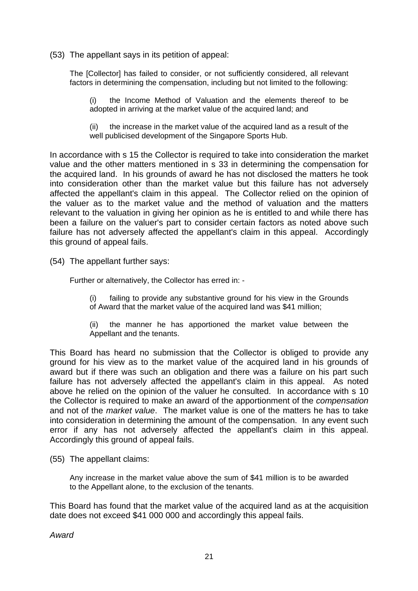(53) The appellant says in its petition of appeal:

The [Collector] has failed to consider, or not sufficiently considered, all relevant factors in determining the compensation, including but not limited to the following:

(i) the Income Method of Valuation and the elements thereof to be adopted in arriving at the market value of the acquired land; and

(ii) the increase in the market value of the acquired land as a result of the well publicised development of the Singapore Sports Hub.

In accordance with s 15 the Collector is required to take into consideration the market value and the other matters mentioned in s 33 in determining the compensation for the acquired land. In his grounds of award he has not disclosed the matters he took into consideration other than the market value but this failure has not adversely affected the appellant's claim in this appeal. The Collector relied on the opinion of the valuer as to the market value and the method of valuation and the matters relevant to the valuation in giving her opinion as he is entitled to and while there has been a failure on the valuer's part to consider certain factors as noted above such failure has not adversely affected the appellant's claim in this appeal. Accordingly this ground of appeal fails.

(54) The appellant further says:

Further or alternatively, the Collector has erred in: -

(i) failing to provide any substantive ground for his view in the Grounds of Award that the market value of the acquired land was \$41 million;

(ii) the manner he has apportioned the market value between the Appellant and the tenants.

This Board has heard no submission that the Collector is obliged to provide any ground for his view as to the market value of the acquired land in his grounds of award but if there was such an obligation and there was a failure on his part such failure has not adversely affected the appellant's claim in this appeal. As noted above he relied on the opinion of the valuer he consulted. In accordance with s 10 the Collector is required to make an award of the apportionment of the *compensation* and not of the *market value*. The market value is one of the matters he has to take into consideration in determining the amount of the compensation. In any event such error if any has not adversely affected the appellant's claim in this appeal. Accordingly this ground of appeal fails.

(55) The appellant claims:

Any increase in the market value above the sum of \$41 million is to be awarded to the Appellant alone, to the exclusion of the tenants.

This Board has found that the market value of the acquired land as at the acquisition date does not exceed \$41 000 000 and accordingly this appeal fails.

*Award*